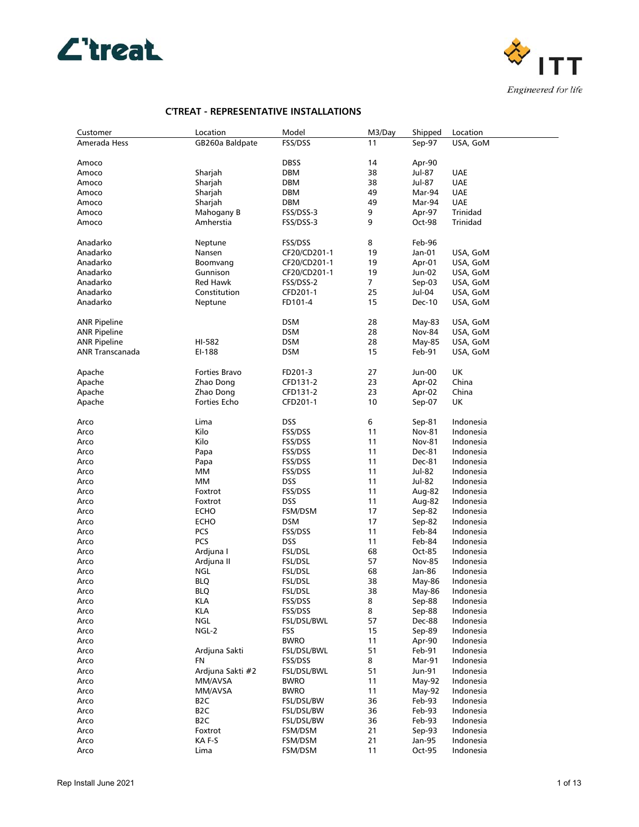



| Customer            | Location         | Model        | M3/Day         | Shipped       | Location   |
|---------------------|------------------|--------------|----------------|---------------|------------|
| Amerada Hess        | GB260a Baldpate  | FSS/DSS      | 11             | Sep-97        | USA, GoM   |
|                     |                  |              |                |               |            |
| Amoco               |                  | <b>DBSS</b>  | 14             | Apr-90        |            |
| Amoco               | Sharjah          | DBM          | 38             | Jul-87        | UAE        |
| Amoco               | Sharjah          | DBM          | 38             | Jul-87        | <b>UAE</b> |
| Amoco               | Sharjah          | DBM          | 49             | Mar-94        | <b>UAE</b> |
| Amoco               | Sharjah          | DBM          | 49             | Mar-94        | <b>UAE</b> |
| Amoco               | Mahogany B       | FSS/DSS-3    | 9              | Apr-97        | Trinidad   |
| Amoco               | Amherstia        | FSS/DSS-3    | 9              | Oct-98        | Trinidad   |
|                     |                  |              |                |               |            |
| Anadarko            | Neptune          | FSS/DSS      | 8              | Feb-96        |            |
| Anadarko            | Nansen           | CF20/CD201-1 | 19             | Jan-01        | USA, GoM   |
| Anadarko            | Boomvang         | CF20/CD201-1 | 19             | Apr-01        | USA, GoM   |
| Anadarko            | Gunnison         | CF20/CD201-1 | 19             | Jun-02        | USA, GoM   |
| Anadarko            | Red Hawk         | FSS/DSS-2    | $\overline{7}$ | Sep-03        | USA, GoM   |
| Anadarko            | Constitution     | CFD201-1     | 25             | Jul-04        | USA, GoM   |
| Anadarko            | Neptune          | FD101-4      | 15             | Dec-10        | USA, GoM   |
|                     |                  |              |                |               |            |
| <b>ANR Pipeline</b> |                  | DSM          | 28             | May-83        | USA, GoM   |
| <b>ANR Pipeline</b> |                  | <b>DSM</b>   | 28             | Nov-84        | USA, GoM   |
| <b>ANR Pipeline</b> | HI-582           | <b>DSM</b>   | 28             | May-85        | USA, GoM   |
| ANR Transcanada     | EI-188           | DSM          | 15             | Feb-91        | USA, GoM   |
|                     |                  |              |                |               |            |
| Apache              | Forties Bravo    | FD201-3      | 27             | Jun-00        | UK         |
| Apache              | Zhao Dong        | CFD131-2     | 23             | Apr-02        | China      |
| Apache              | Zhao Dong        | CFD131-2     | 23             | Apr-02        | China      |
| Apache              | Forties Echo     | CFD201-1     | 10             | Sep-07        | UK         |
|                     |                  |              |                |               |            |
|                     | Lima             | DSS          | 6              | Sep-81        | Indonesia  |
| Arco<br>Arco        | Kilo             | FSS/DSS      | 11             | <b>Nov-81</b> | Indonesia  |
|                     |                  |              |                |               |            |
| Arco                | Kilo             | FSS/DSS      | 11             | <b>Nov-81</b> | Indonesia  |
| Arco                | Papa             | FSS/DSS      | 11             | Dec-81        | Indonesia  |
| Arco                | Papa             | FSS/DSS      | 11             | Dec-81        | Indonesia  |
| Arco                | MМ               | FSS/DSS      | 11             | Jul-82        | Indonesia  |
| Arco                | MМ               | DSS          | 11             | Jul-82        | Indonesia  |
| Arco                | Foxtrot          | FSS/DSS      | 11             | Aug-82        | Indonesia  |
| Arco                | Foxtrot          | DSS          | 11             | Aug-82        | Indonesia  |
| Arco                | <b>ECHO</b>      | FSM/DSM      | 17             | Sep-82        | Indonesia  |
| Arco                | <b>ECHO</b>      | DSM          | 17             | Sep-82        | Indonesia  |
| Arco                | PCS              | FSS/DSS      | 11             | Feb-84        | Indonesia  |
| Arco                | PCS              | DSS          | 11             | Feb-84        | Indonesia  |
| Arco                | Ardjuna I        | FSL/DSL      | 68             | Oct-85        | Indonesia  |
| Arco                | Ardjuna II       | FSL/DSL      | 57             | <b>Nov-85</b> | Indonesia  |
| Arco                | NGL              | FSL/DSL      | 68             | Jan-86        | Indonesia  |
| Arco                | <b>BLQ</b>       | FSL/DSL      | 38             | May-86        | Indonesia  |
| Arco                | <b>BLQ</b>       | FSL/DSL      | 38             | May-86        | Indonesia  |
| Arco                | <b>KLA</b>       | FSS/DSS      | 8              | Sep-88        | Indonesia  |
| Arco                | <b>KLA</b>       | FSS/DSS      | 8              | Sep-88        | Indonesia  |
| Arco                | NGL              | FSL/DSL/BWL  | 57             | Dec-88        | Indonesia  |
| Arco                | NGL-2            | FSS          | 15             | Sep-89        | Indonesia  |
| Arco                |                  | <b>BWRO</b>  | 11             | Apr-90        | Indonesia  |
| Arco                | Ardjuna Sakti    | FSL/DSL/BWL  | 51             | Feb-91        | Indonesia  |
| Arco                | FN               | FSS/DSS      | 8              | Mar-91        | Indonesia  |
| Arco                | Ardjuna Sakti #2 | FSL/DSL/BWL  | 51             | Jun-91        | Indonesia  |
| Arco                | MM/AVSA          | <b>BWRO</b>  | 11             | May-92        | Indonesia  |
| Arco                | MM/AVSA          | <b>BWRO</b>  | 11             | May-92        | Indonesia  |
| Arco                | B <sub>2</sub> C | FSL/DSL/BW   | 36             | Feb-93        | Indonesia  |
| Arco                | B <sub>2</sub> C | FSL/DSL/BW   | 36             | Feb-93        | Indonesia  |
| Arco                | B <sub>2</sub> C | FSL/DSL/BW   | 36             | Feb-93        | Indonesia  |
| Arco                | Foxtrot          | FSM/DSM      | 21             | Sep-93        | Indonesia  |
| Arco                | KA F-S           | FSM/DSM      | 21             | Jan-95        | Indonesia  |
| Arco                | Lima             | FSM/DSM      | 11             | Oct-95        | Indonesia  |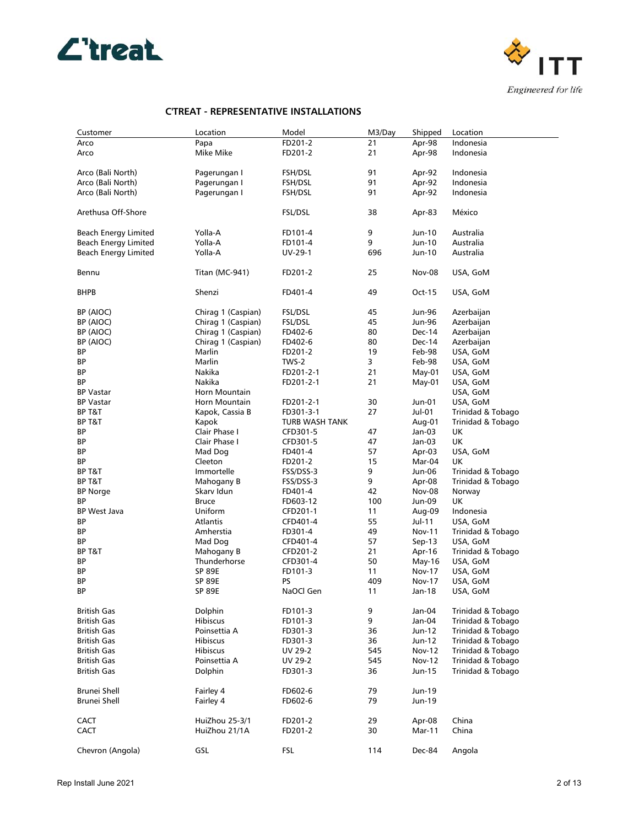



| Customer                    | Location              | Model          | M3/Day | Shipped       | Location             |
|-----------------------------|-----------------------|----------------|--------|---------------|----------------------|
| Arco                        | Papa                  | FD201-2        | 21     | Apr-98        | Indonesia            |
| Arco                        | Mike Mike             | FD201-2        | 21     | Apr-98        | Indonesia            |
| Arco (Bali North)           | Pagerungan I          | FSH/DSL        | 91     | Apr-92        | Indonesia            |
| Arco (Bali North)           | Pagerungan I          | FSH/DSL        | 91     | Apr-92        | Indonesia            |
| Arco (Bali North)           | Pagerungan I          | FSH/DSL        | 91     | Apr-92        | Indonesia            |
| Arethusa Off-Shore          |                       | FSL/DSL        | 38     | Apr-83        | México               |
| Beach Energy Limited        | Yolla-A               | FD101-4        | 9      | Jun-10        | Australia            |
| <b>Beach Energy Limited</b> | Yolla-A               | FD101-4        | 9      | Jun-10        | Australia            |
| <b>Beach Energy Limited</b> | Yolla-A               | UV-29-1        | 696    | Jun-10        | Australia            |
| Bennu                       | <b>Titan (MC-941)</b> | FD201-2        | 25     | <b>Nov-08</b> | USA, GoM             |
| <b>BHPB</b>                 | Shenzi                | FD401-4        | 49     | Oct-15        | USA, GoM             |
| BP (AIOC)                   | Chirag 1 (Caspian)    | FSL/DSL        | 45     | Jun-96        | Azerbaijan           |
| BP (AIOC)                   | Chirag 1 (Caspian)    | FSL/DSL        | 45     | Jun-96        | Azerbaijan           |
| BP (AIOC)                   | Chirag 1 (Caspian)    | FD402-6        | 80     | Dec-14        | Azerbaijan           |
| BP (AIOC)                   | Chirag 1 (Caspian)    | FD402-6        | 80     | Dec-14        | Azerbaijan           |
| ΒP                          | Marlin                | FD201-2        | 19     | Feb-98        | USA, GoM             |
| ВP                          | Marlin                | TWS-2          | 3      | Feb-98        | USA, GoM             |
| ΒP                          | Nakika                | FD201-2-1      | 21     | May-01        | USA, GoM             |
| ΒP                          | Nakika                | FD201-2-1      | 21     | May-01        | USA, GoM             |
| <b>BP Vastar</b>            | Horn Mountain         |                |        |               | USA, GoM             |
| <b>BP Vastar</b>            | Horn Mountain         | FD201-2-1      | 30     | Jun-01        | USA, GoM             |
| BP T&T                      | Kapok, Cassia B       | FD301-3-1      | 27     | Jul-01        | Trinidad & Tobago    |
| BP T&T                      | Kapok                 | TURB WASH TANK |        | Aug-01        | Trinidad & Tobago    |
| BP                          | Clair Phase I         | CFD301-5       | 47     | Jan-03        | UK                   |
| ΒP                          | Clair Phase I         | CFD301-5       | 47     | Jan-03        | UK                   |
| ΒP                          | Mad Dog               | FD401-4        | 57     | Apr-03        | USA, GoM             |
| ΒP                          | Cleeton               | FD201-2        | 15     | Mar-04        | UK                   |
| BP T&T                      | Immortelle            | FSS/DSS-3      | 9      | Jun-06        | Trinidad & Tobago    |
| BP T&T                      | Mahogany B            | FSS/DSS-3      | 9      | Apr-08        | Trinidad & Tobago    |
| <b>BP Norge</b>             | Skarv Idun            | FD401-4        | 42     | <b>Nov-08</b> | Norway               |
| ВP                          | <b>Bruce</b>          | FD603-12       | 100    | Jun-09        | UK                   |
| BP West Java                | Uniform               | CFD201-1       | 11     | Aug-09        | Indonesia            |
| ΒP                          | Atlantis              | CFD401-4       | 55     | Jul-11        | USA, GoM             |
| ΒP                          | Amherstia             | FD301-4        | 49     | Nov-11        | Trinidad & Tobago    |
| ΒP                          | Mad Dog               | CFD401-4       | 57     | $Sep-13$      | USA, GoM             |
| BP T&T                      | Mahogany B            | CFD201-2       | 21     | Apr-16        | Trinidad & Tobago    |
| ВP                          | Thunderhorse          | CFD301-4       | 50     | May-16        | USA, GoM             |
| BP                          | <b>SP 89E</b>         | FD101-3        | 11     | Nov-17        | USA, GoM             |
| ΒP                          | <b>SP 89E</b>         | <b>PS</b>      | 409    | Nov-17        |                      |
| ΒP                          | <b>SP 89E</b>         | NaOCl Gen      | 11     | Jan-18        | USA, GoM<br>USA, GoM |
|                             |                       |                |        |               |                      |
| <b>British Gas</b>          | Dolphin               | FD101-3        | 9      | Jan-04        | Trinidad & Tobago    |
| <b>British Gas</b>          | <b>Hibiscus</b>       | FD101-3        | 9      | Jan-04        | Trinidad & Tobago    |
| <b>British Gas</b>          | Poinsettia A          | FD301-3        | 36     | Jun-12        | Trinidad & Tobago    |
| <b>British Gas</b>          | <b>Hibiscus</b>       | FD301-3        | 36     | Jun-12        | Trinidad & Tobago    |
| <b>British Gas</b>          | Hibiscus              | UV 29-2        | 545    | <b>Nov-12</b> | Trinidad & Tobago    |
| <b>British Gas</b>          | Poinsettia A          | UV 29-2        | 545    | <b>Nov-12</b> | Trinidad & Tobago    |
| <b>British Gas</b>          | Dolphin               | FD301-3        | 36     | Jun-15        | Trinidad & Tobago    |
| Brunei Shell                | Fairley 4             | FD602-6        | 79     | Jun-19        |                      |
| Brunei Shell                | Fairley 4             | FD602-6        | 79     | Jun-19        |                      |
| <b>CACT</b>                 | HuiZhou 25-3/1        | FD201-2        | 29     | Apr-08        | China                |
| <b>CACT</b>                 | HuiZhou 21/1A         | FD201-2        | 30     | Mar-11        | China                |
|                             |                       |                |        |               |                      |
| Chevron (Angola)            | GSL                   | <b>FSL</b>     | 114    | Dec-84        | Angola               |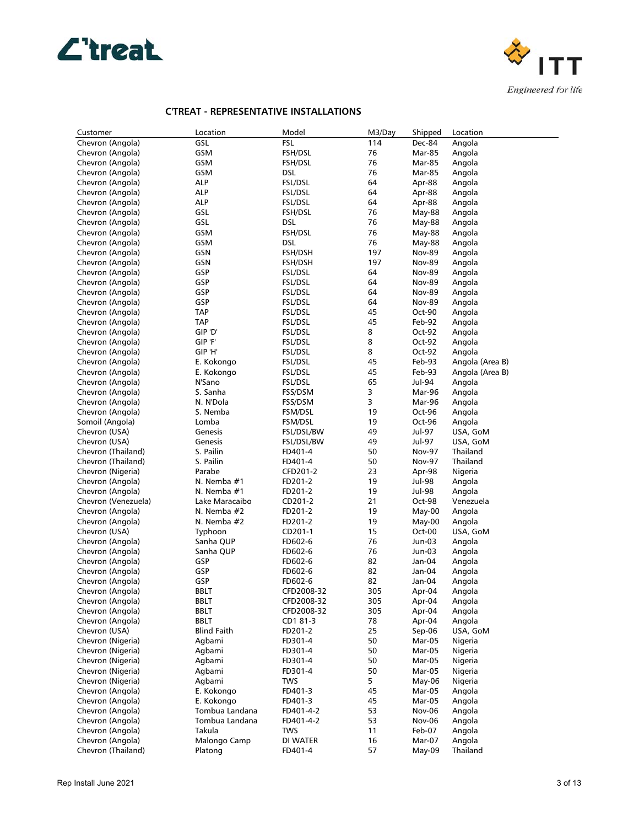



| Customer                             | Location           | Model              | M3/Day  | Shipped          | Location         |
|--------------------------------------|--------------------|--------------------|---------|------------------|------------------|
| Chevron (Angola)                     | GSL                | <b>FSL</b>         | 114     | Dec-84           | Angola           |
| Chevron (Angola)                     | GSM                | <b>FSH/DSL</b>     | 76      | Mar-85           | Angola           |
| Chevron (Angola)                     | GSM                | FSH/DSL            | 76      | Mar-85           | Angola           |
| Chevron (Angola)                     | GSM                | <b>DSL</b>         | 76      | Mar-85           | Angola           |
| Chevron (Angola)                     | alp                | FSL/DSL            | 64      | Apr-88           | Angola           |
| Chevron (Angola)                     | ALP                | FSL/DSL            | 64      | Apr-88           | Angola           |
| Chevron (Angola)                     | ALP                | FSL/DSL            | 64      | Apr-88           | Angola           |
| Chevron (Angola)                     | GSL                | FSH/DSL            | 76      | May-88           | Angola           |
| Chevron (Angola)                     | GSL                | DSL                | 76      | May-88           | Angola           |
| Chevron (Angola)                     | GSM                | FSH/DSL            | 76      | May-88           | Angola           |
| Chevron (Angola)                     | GSM                | <b>DSL</b>         | 76      | May-88           | Angola           |
| Chevron (Angola)                     | GSN                | FSH/DSH            | 197     | <b>Nov-89</b>    | Angola           |
| Chevron (Angola)                     | GSN                | FSH/DSH            | 197     | <b>Nov-89</b>    | Angola           |
| Chevron (Angola)                     | GSP                | FSL/DSL            | 64      | <b>Nov-89</b>    | Angola           |
| Chevron (Angola)                     | GSP                | FSL/DSL            | 64      | <b>Nov-89</b>    | Angola           |
| Chevron (Angola)                     | GSP                | FSL/DSL            | 64      | <b>Nov-89</b>    | Angola           |
| Chevron (Angola)                     | GSP                | FSL/DSL            | 64      | <b>Nov-89</b>    | Angola           |
| Chevron (Angola)                     | TAP                | FSL/DSL            | 45      | Oct-90           | Angola           |
| Chevron (Angola)                     | TAP                | FSL/DSL            | 45      | Feb-92           | Angola           |
| Chevron (Angola)                     | GIP 'D'            | FSL/DSL            | 8       | Oct-92           | Angola           |
| Chevron (Angola)                     | GIP 'F'            | FSL/DSL            | 8       | Oct-92           | Angola           |
| Chevron (Angola)                     | GIP 'H'            | FSL/DSL            | 8       | Oct-92           | Angola           |
| Chevron (Angola)                     | E. Kokongo         | <b>FSL/DSL</b>     | 45      | Feb-93           | Angola (Area B)  |
| Chevron (Angola)                     | E. Kokongo         | FSL/DSL            | 45      | Feb-93           | Angola (Area B)  |
| Chevron (Angola)<br>Chevron (Angola) | N'Sano<br>S. Sanha | FSL/DSL            | 65<br>3 | Jul-94<br>Mar-96 | Angola           |
| Chevron (Angola)                     | N. N'Dola          | FSS/DSM            | 3       | Mar-96           | Angola           |
| Chevron (Angola)                     | S. Nemba           | FSS/DSM<br>FSM/DSL | 19      | Oct-96           | Angola<br>Angola |
| Somoil (Angola)                      | Lomba              | FSM/DSL            | 19      | Oct-96           | Angola           |
| Chevron (USA)                        | Genesis            | FSL/DSL/BW         | 49      | Jul-97           | USA, GoM         |
| Chevron (USA)                        | Genesis            | FSL/DSL/BW         | 49      | Jul-97           | USA, GoM         |
| Chevron (Thailand)                   | S. Pailin          | FD401-4            | 50      | <b>Nov-97</b>    | Thailand         |
| Chevron (Thailand)                   | S. Pailin          | FD401-4            | 50      | <b>Nov-97</b>    | Thailand         |
| Chevron (Nigeria)                    | Parabe             | CFD201-2           | 23      | Apr-98           | Nigeria          |
| Chevron (Angola)                     | N. Nemba #1        | FD201-2            | 19      | Jul-98           | Angola           |
| Chevron (Angola)                     | N. Nemba #1        | FD201-2            | 19      | Jul-98           | Angola           |
| Chevron (Venezuela)                  | Lake Maracaibo     | CD201-2            | 21      | Oct-98           | Venezuela        |
| Chevron (Angola)                     | N. Nemba #2        | FD201-2            | 19      | $May-00$         | Angola           |
| Chevron (Angola)                     | N. Nemba #2        | FD201-2            | 19      | May-00           | Angola           |
| Chevron (USA)                        | Typhoon            | CD201-1            | 15      | Oct-00           | USA, GoM         |
| Chevron (Angola)                     | Sanha QUP          | FD602-6            | 76      | Jun-03           | Angola           |
| Chevron (Angola)                     | Sanha QUP          | FD602-6            | 76      | Jun-03           | Angola           |
| Chevron (Angola)                     | GSP                | FD602-6            | 82      | Jan-04           | Angola           |
| Chevron (Angola)                     | GSP                | FD602-6            | 82      | Jan-04           | Angola           |
| Chevron (Angola)                     | GSP                | FD602-6            | 82      | Jan-04           | Angola           |
| Chevron (Angola)                     | BBLT               | CFD2008-32         | 305     | Apr-04           | Angola           |
| Chevron (Angola)                     | BBLT               | CFD2008-32         | 305     | Apr-04           | Angola           |
| Chevron (Angola)                     | <b>BBLT</b>        | CFD2008-32         | 305     | Apr-04           | Angola           |
| Chevron (Angola)                     | <b>BBLT</b>        | CD1 81-3           | 78      | Apr-04           | Angola           |
| Chevron (USA)                        | <b>Blind Faith</b> | FD201-2            | 25      | Sep-06           | USA, GoM         |
| Chevron (Nigeria)                    | Agbami             | FD301-4            | 50      | Mar-05           | Nigeria          |
| Chevron (Nigeria)                    | Agbami             | FD301-4            | 50      | Mar-05           | Nigeria          |
| Chevron (Nigeria)                    | Agbami             | FD301-4            | 50      | Mar-05           | Nigeria          |
| Chevron (Nigeria)                    | Agbami             | FD301-4            | 50      | Mar-05           | Nigeria          |
| Chevron (Nigeria)                    | Agbami             | <b>TWS</b>         | 5       | May-06           | Nigeria          |
| Chevron (Angola)                     | E. Kokongo         | FD401-3            | 45      | Mar-05           | Angola           |
| Chevron (Angola)                     | E. Kokongo         | FD401-3            | 45      | Mar-05           | Angola           |
| Chevron (Angola)                     | Tombua Landana     | FD401-4-2          | 53      | Nov-06           | Angola           |
| Chevron (Angola)                     | Tombua Landana     | FD401-4-2          | 53      | <b>Nov-06</b>    | Angola           |
| Chevron (Angola)                     | Takula             | <b>TWS</b>         | 11      | Feb-07           | Angola           |
| Chevron (Angola)                     | Malongo Camp       | DI WATER           | 16      | Mar-07           | Angola           |
| Chevron (Thailand)                   | Platong            | FD401-4            | 57      | May-09           | Thailand         |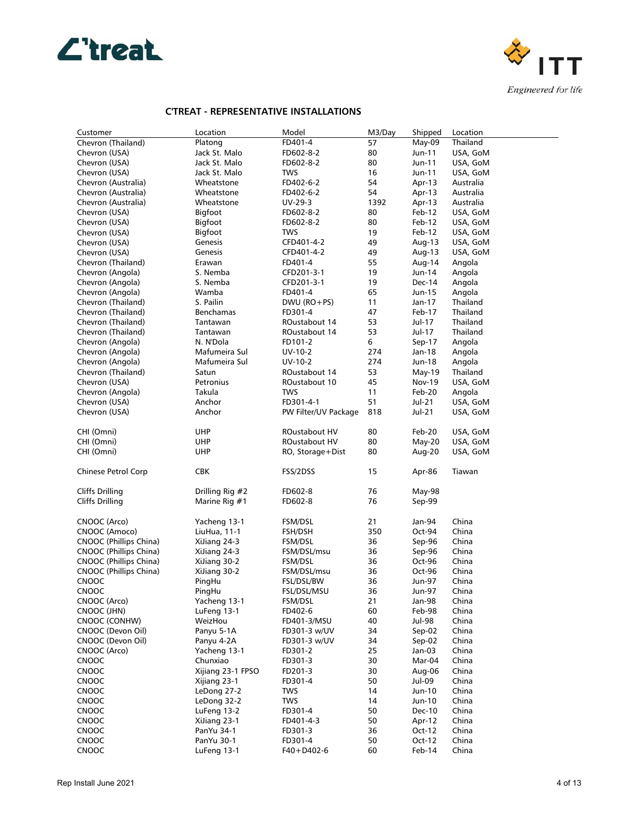



| Customer               | Location           | Model                | M3/Day | Shipped  | Location  |
|------------------------|--------------------|----------------------|--------|----------|-----------|
| Chevron (Thailand)     | Platong            | FD401-4              | 57     | $May-09$ | Thailand  |
| Chevron (USA)          | Jack St. Malo      | FD602-8-2            | 80     | Jun-11   | USA, GoM  |
| Chevron (USA)          | Jack St. Malo      | FD602-8-2            | 80     | Jun-11   | USA, GoM  |
| Chevron (USA)          | Jack St. Malo      | <b>TWS</b>           | 16     | Jun-11   | USA, GoM  |
| Chevron (Australia)    | Wheatstone         | FD402-6-2            | 54     | Apr-13   | Australia |
| Chevron (Australia)    | Wheatstone         | FD402-6-2            | 54     | Apr-13   | Australia |
| Chevron (Australia)    | Wheatstone         | UV-29-3              | 1392   | Apr-13   | Australia |
| Chevron (USA)          | Bigfoot            | FD602-8-2            | 80     | Feb-12   | USA, GoM  |
| Chevron (USA)          | Bigfoot            | FD602-8-2            | 80     | Feb-12   | USA, GoM  |
| Chevron (USA)          | Bigfoot            | <b>TWS</b>           | 19     | Feb-12   | USA, GoM  |
| Chevron (USA)          | Genesis            | CFD401-4-2           | 49     | Aug-13   | USA, GoM  |
|                        | Genesis            | CFD401-4-2           | 49     | Aug-13   | USA, GoM  |
| Chevron (USA)          |                    |                      | 55     |          |           |
| Chevron (Thailand)     | Erawan<br>S. Nemba | FD401-4              | 19     | Aug-14   | Angola    |
| Chevron (Angola)       | S. Nemba           | CFD201-3-1           | 19     | Jun-14   | Angola    |
| Chevron (Angola)       |                    | CFD201-3-1           |        | Dec-14   | Angola    |
| Chevron (Angola)       | Wamba              | FD401-4              | 65     | Jun-15   | Angola    |
| Chevron (Thailand)     | S. Pailin          | $DWU$ (RO+PS)        | 11     | Jan-17   | Thailand  |
| Chevron (Thailand)     | Benchamas          | FD301-4              | 47     | Feb-17   | Thailand  |
| Chevron (Thailand)     | Tantawan           | ROustabout 14        | 53     | Jul-17   | Thailand  |
| Chevron (Thailand)     | Tantawan           | ROustabout 14        | 53     | Jul-17   | Thailand  |
| Chevron (Angola)       | N. N'Dola          | FD101-2              | 6      | Sep-17   | Angola    |
| Chevron (Angola)       | Mafumeira Sul      | UV-10-2              | 274    | Jan-18   | Angola    |
| Chevron (Angola)       | Mafumeira Sul      | UV-10-2              | 274    | Jun-18   | Angola    |
| Chevron (Thailand)     | Satun              | ROustabout 14        | 53     | May-19   | Thailand  |
| Chevron (USA)          | Petronius          | ROustabout 10        | 45     | Nov-19   | USA, GoM  |
| Chevron (Angola)       | Takula             | <b>TWS</b>           | 11     | Feb-20   | Angola    |
| Chevron (USA)          | Anchor             | FD301-4-1            | 51     | Jul-21   | USA, GoM  |
| Chevron (USA)          | Anchor             | PW Filter/UV Package | 818    | Jul-21   | USA, GoM  |
|                        |                    |                      |        |          |           |
| CHI (Omni)             | UHP                | ROustabout HV        | 80     | Feb-20   | USA, GoM  |
| CHI (Omni)             | UHP                | ROustabout HV        | 80     | $May-20$ | USA, GoM  |
| CHI (Omni)             | UHP                | RO, Storage+Dist     | 80     | Aug-20   | USA, GoM  |
|                        |                    |                      |        |          |           |
| Chinese Petrol Corp    | <b>CBK</b>         | FSS/2DSS             | 15     | Apr-86   | Tiawan    |
|                        |                    |                      |        |          |           |
| Cliffs Drilling        | Drilling Rig #2    | FD602-8              | 76     | May-98   |           |
| <b>Cliffs Drilling</b> | Marine Rig #1      | FD602-8              | 76     | Sep-99   |           |
|                        |                    |                      |        |          |           |
| CNOOC (Arco)           | Yacheng 13-1       | FSM/DSL              | 21     | Jan-94   | China     |
| CNOOC (Amoco)          | LiuHua, 11-1       | FSH/DSH              | 350    | Oct-94   | China     |
| CNOOC (Phillips China) | XiJiang 24-3       | FSM/DSL              | 36     | Sep-96   | China     |
| CNOOC (Phillips China) | XiJiang 24-3       | FSM/DSL/msu          | 36     | Sep-96   | China     |
| CNOOC (Phillips China) | XiJiang 30-2       | FSM/DSL              | 36     | Oct-96   | China     |
| CNOOC (Phillips China) | XiJiang 30-2       | FSM/DSL/msu          | 36     | Oct-96   | China     |
| CNOOC                  | PingHu             | FSL/DSL/BW           | 36     | Jun-97   | China     |
| CNOOC                  | PingHu             | FSL/DSL/MSU          | 36     | Jun-97   | China     |
| CNOOC (Arco)           | Yacheng 13-1       | FSM/DSL              | 21     | Jan-98   | China     |
| CNOOC (JHN)            | LuFeng 13-1        | FD402-6              | 60     | Feb-98   | China     |
| CNOOC (CONHW)          | WeizHou            | FD401-3/MSU          | 40     | Jul-98   | China     |
| CNOOC (Devon Oil)      | Panyu 5-1A         | FD301-3 w/UV         | 34     | Sep-02   | China     |
| CNOOC (Devon Oil)      | Panyu 4-2A         | FD301-3 w/UV         | 34     | Sep-02   | China     |
| CNOOC (Arco)           | Yacheng 13-1       | FD301-2              | 25     | Jan-03   | China     |
| <b>CNOOC</b>           | Chunxiao           | FD301-3              | 30     | Mar-04   | China     |
| CNOOC                  | Xijiang 23-1 FPSO  | FD201-3              | 30     | Aug-06   | China     |
| <b>CNOOC</b>           | Xijiang 23-1       | FD301-4              | 50     | Jul-09   | China     |
| CNOOC                  | LeDong 27-2        | <b>TWS</b>           | 14     | Jun-10   | China     |
| CNOOC                  | LeDong 32-2        | <b>TWS</b>           | 14     | Jun-10   | China     |
| <b>CNOOC</b>           | LuFeng 13-2        | FD301-4              | 50     | Dec-10   | China     |
| CNOOC                  | XiJiang 23-1       | FD401-4-3            | 50     | Apr-12   | China     |
| <b>CNOOC</b>           | PanYu 34-1         | FD301-3              | 36     | Oct-12   | China     |
| <b>CNOOC</b>           | PanYu 30-1         | FD301-4              | 50     | Oct-12   | China     |
| CNOOC                  | LuFeng 13-1        | $F40 + D402 - 6$     | 60     | Feb-14   | China     |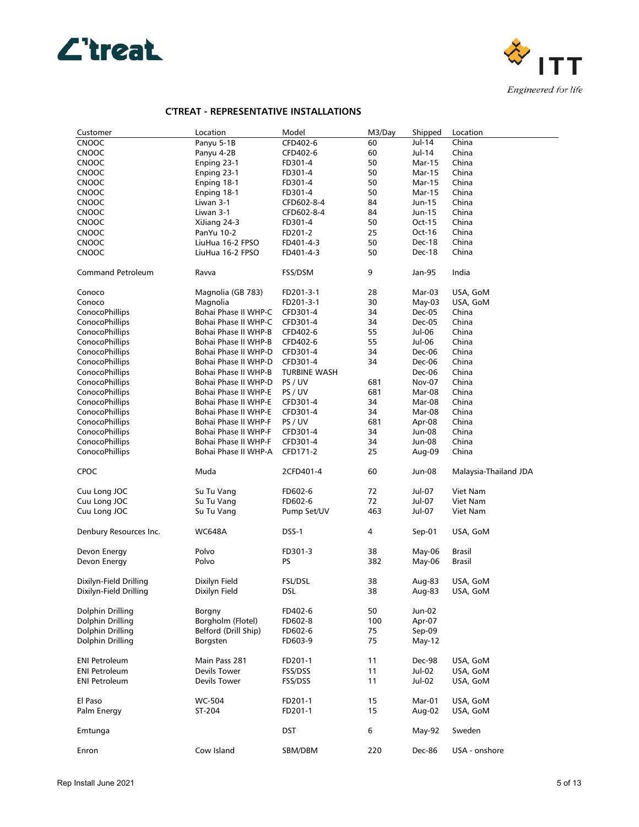



| Customer                 | Location                    | Model               | M3/Day | Shipped       | Location              |
|--------------------------|-----------------------------|---------------------|--------|---------------|-----------------------|
| <b>CNOOC</b>             | Panyu 5-1B                  | CFD402-6            | 60     | Jul-14        | China                 |
| <b>CNOOC</b>             | Panyu 4-2B                  | CFD402-6            | 60     | Jul-14        | China                 |
| CNOOC                    | Enping 23-1                 | FD301-4             | 50     | Mar-15        | China                 |
| <b>CNOOC</b>             | Enping 23-1                 | FD301-4             | 50     | <b>Mar-15</b> | China                 |
| <b>CNOOC</b>             | Enping 18-1                 | FD301-4             | 50     | <b>Mar-15</b> | China                 |
| <b>CNOOC</b>             | Enping 18-1                 | FD301-4             | 50     | <b>Mar-15</b> | China                 |
| <b>CNOOC</b>             | Liwan 3-1                   | CFD602-8-4          | 84     | Jun-15        | China                 |
| <b>CNOOC</b>             | Liwan 3-1                   | CFD602-8-4          | 84     | Jun-15        | China                 |
|                          |                             |                     | 50     | Oct-15        | China                 |
| <b>CNOOC</b>             | XiJiang 24-3                | FD301-4             |        |               |                       |
| <b>CNOOC</b>             | PanYu 10-2                  | FD201-2             | 25     | Oct-16        | China                 |
| <b>CNOOC</b>             | LiuHua 16-2 FPSO            | FD401-4-3           | 50     | Dec-18        | China                 |
| <b>CNOOC</b>             | LiuHua 16-2 FPSO            | FD401-4-3           | 50     | Dec-18        | China                 |
| <b>Command Petroleum</b> | Ravva                       | FSS/DSM             | 9      | Jan-95        | India                 |
| Conoco                   | Magnolia (GB 783)           | FD201-3-1           | 28     | Mar-03        | USA, GoM              |
| Conoco                   | Magnolia                    | FD201-3-1           | 30     | May-03        | USA, GoM              |
| ConocoPhillips           | Bohai Phase II WHP-C        | CFD301-4            | 34     | Dec-05        | China                 |
| ConocoPhillips           | Bohai Phase II WHP-C        | CFD301-4            | 34     | Dec-05        | China                 |
| ConocoPhillips           | Bohai Phase II WHP-B        | CFD402-6            | 55     | Jul-06        | China                 |
|                          | Bohai Phase II WHP-B        |                     | 55     | Jul-06        | China                 |
| ConocoPhillips           |                             | CFD402-6            |        |               |                       |
| ConocoPhillips           | Bohai Phase II WHP-D        | CFD301-4            | 34     | Dec-06        | China                 |
| ConocoPhillips           | Bohai Phase II WHP-D        | CFD301-4            | 34     | Dec-06        | China                 |
| ConocoPhillips           | Bohai Phase II WHP-B        | <b>TURBINE WASH</b> |        | Dec-06        | China                 |
| ConocoPhillips           | Bohai Phase II WHP-D        | PS / UV             | 681    | <b>Nov-07</b> | China                 |
| ConocoPhillips           | Bohai Phase II WHP-E        | PS / UV             | 681    | Mar-08        | China                 |
| ConocoPhillips           | <b>Bohai Phase II WHP-E</b> | CFD301-4            | 34     | Mar-08        | China                 |
| ConocoPhillips           | <b>Bohai Phase II WHP-E</b> | CFD301-4            | 34     | Mar-08        | China                 |
| ConocoPhillips           | Bohai Phase II WHP-F        | PS / UV             | 681    | Apr-08        | China                 |
| ConocoPhillips           | Bohai Phase II WHP-F        | CFD301-4            | 34     | Jun-08        | China                 |
| ConocoPhillips           | Bohai Phase II WHP-F        | CFD301-4            | 34     | Jun-08        | China                 |
| ConocoPhillips           | Bohai Phase II WHP-A        | CFD171-2            | 25     | Aug-09        | China                 |
| <b>CPOC</b>              | Muda                        | 2CFD401-4           | 60     | Jun-08        | Malaysia-Thailand JDA |
|                          |                             |                     |        |               |                       |
| Cuu Long JOC             | Su Tu Vang                  | FD602-6             | 72     | Jul-07        | Viet Nam              |
| Cuu Long JOC             | Su Tu Vang                  | FD602-6             | 72     | Jul-07        | Viet Nam              |
| Cuu Long JOC             | Su Tu Vang                  | Pump Set/UV         | 463    | Jul-07        | Viet Nam              |
|                          |                             |                     |        |               |                       |
| Denbury Resources Inc.   | <b>WC648A</b>               | DSS-1               | 4      | Sep-01        | USA, GoM              |
| Devon Energy             | Polvo                       | FD301-3             | 38     | May-06        | <b>Brasil</b>         |
| Devon Energy             | Polvo                       | PS                  | 382    | May-06        | <b>Brasil</b>         |
|                          |                             |                     |        |               |                       |
| Dixilyn-Field Drilling   | Dixilyn Field               | <b>FSL/DSL</b>      | 38     | Aug-83        | USA, GoM              |
| Dixilyn-Field Drilling   | Dixilyn Field               | <b>DSL</b>          | 38     | Aug-83        | USA, GoM              |
| Dolphin Drilling         | Borgny                      | FD402-6             | 50     | Jun-02        |                       |
| Dolphin Drilling         | Borgholm (Flotel)           | FD602-8             | 100    | Apr-07        |                       |
| Dolphin Drilling         | Belford (Drill Ship)        | FD602-6             | 75     | Sep-09        |                       |
| Dolphin Drilling         |                             | FD603-9             | 75     | $May-12$      |                       |
|                          | Borgsten                    |                     |        |               |                       |
| <b>ENI Petroleum</b>     | Main Pass 281               | FD201-1             | 11     | Dec-98        | USA, GoM              |
| <b>ENI Petroleum</b>     | Devils Tower                | FSS/DSS             | 11     | Jul-02        | USA, GoM              |
| <b>ENI Petroleum</b>     | Devils Tower                | FSS/DSS             | 11     | Jul-02        | USA, GoM              |
|                          |                             |                     |        |               |                       |
| El Paso                  | WC-504                      | FD201-1             | 15     | Mar-01        | USA, GoM              |
| Palm Energy              | ST-204                      | FD201-1             | 15     | Aug-02        | USA, GoM              |
| Emtunga                  |                             | DST                 | 6      | May-92        | Sweden                |
|                          |                             |                     |        |               |                       |
| Enron                    | Cow Island                  | SBM/DBM             | 220    | Dec-86        | USA - onshore         |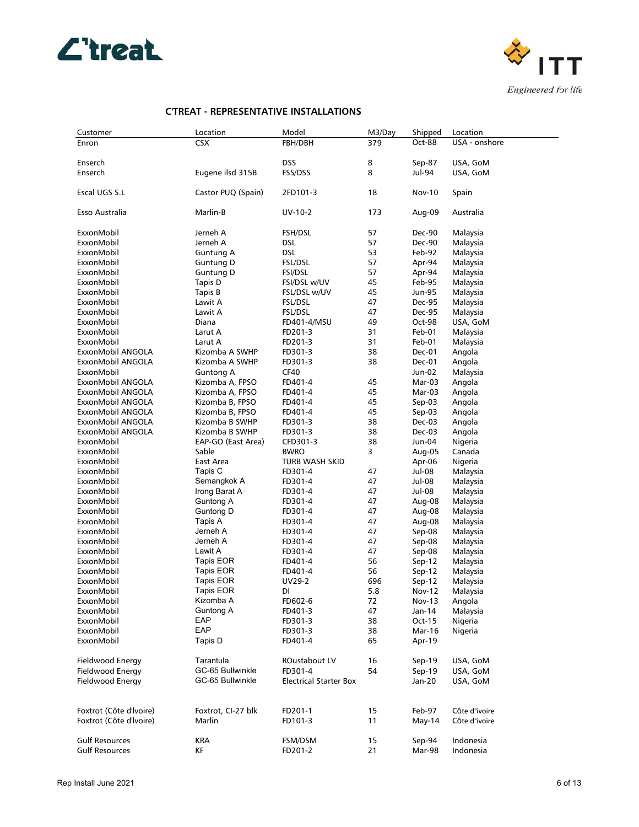



| Customer                               | Location                         | Model                         | M3/Day   | Shipped          | Location           |
|----------------------------------------|----------------------------------|-------------------------------|----------|------------------|--------------------|
| Enron                                  | <b>CSX</b>                       | FBH/DBH                       | 379      | Oct-88           | USA - onshore      |
|                                        |                                  |                               |          |                  |                    |
| Enserch                                |                                  | DSS                           | 8        | Sep-87           | USA, GoM           |
| Enserch                                | Eugene ilsd 315B                 | FSS/DSS                       | 8        | Jul-94           | USA, GoM           |
| Escal UGS S.L                          | Castor PUQ (Spain)               | 2FD101-3                      | 18       | <b>Nov-10</b>    | Spain              |
|                                        |                                  |                               |          |                  |                    |
| Esso Australia                         | Marlin-B                         | UV-10-2                       | 173      | Aug-09           | Australia          |
| ExxonMobil                             | Jerneh A                         | <b>FSH/DSL</b>                | 57       | Dec-90           | Malaysia           |
| ExxonMobil                             | Jerneh A                         | DSL                           | 57       | Dec-90           | Malaysia           |
| ExxonMobil                             | Guntung A                        | DSL                           | 53       | Feb-92           | Malaysia           |
| ExxonMobil                             | Guntung D                        | FSL/DSL                       | 57       | Apr-94           | Malaysia           |
| ExxonMobil                             | Guntung D                        | <b>FSI/DSL</b>                | 57       | Apr-94           | Malaysia           |
| ExxonMobil                             | Tapis D                          | FSI/DSL w/UV                  | 45       | Feb-95           | Malaysia           |
| ExxonMobil                             | Tapis B                          | FSL/DSL w/UV                  | 45       | Jun-95           | Malaysia           |
| ExxonMobil                             | Lawit A                          | FSL/DSL                       | 47       | Dec-95           | Malaysia           |
| ExxonMobil                             | Lawit A<br>Diana                 | FSL/DSL                       | 47       | Dec-95           | Malaysia           |
| ExxonMobil                             |                                  | FD401-4/MSU                   | 49       | Oct-98           | USA, GoM           |
| ExxonMobil                             | Larut A                          | FD201-3<br>FD201-3            | 31<br>31 | Feb-01           | Malaysia           |
| ExxonMobil                             | Larut A                          |                               | 38       | Feb-01           | Malaysia<br>Angola |
| ExxonMobil ANGOLA<br>ExxonMobil ANGOLA | Kizomba A SWHP<br>Kizomba A SWHP | FD301-3                       | 38       | Dec-01           |                    |
| ExxonMobil                             |                                  | FD301-3<br>CF40               |          | Dec-01<br>Jun-02 | Angola             |
| ExxonMobil ANGOLA                      | Guntong A<br>Kizomba A, FPSO     | FD401-4                       | 45       | Mar-03           | Malaysia<br>Angola |
| ExxonMobil ANGOLA                      | Kizomba A, FPSO                  | FD401-4                       | 45       | Mar-03           | Angola             |
| ExxonMobil ANGOLA                      | Kizomba B, FPSO                  | FD401-4                       | 45       | Sep-03           | Angola             |
| ExxonMobil ANGOLA                      | Kizomba B, FPSO                  | FD401-4                       | 45       | Sep-03           | Angola             |
| ExxonMobil ANGOLA                      | Kizomba B SWHP                   | FD301-3                       | 38       | Dec-03           | Angola             |
| ExxonMobil ANGOLA                      | Kizomba B SWHP                   | FD301-3                       | 38       | Dec-03           | Angola             |
| ExxonMobil                             | EAP-GO (East Area)               | CFD301-3                      | 38       | Jun-04           | Nigeria            |
| ExxonMobil                             | Sable                            | <b>BWRO</b>                   | 3        | Aug-05           | Canada             |
| ExxonMobil                             | East Area                        | TURB WASH SKID                |          | Apr-06           | Nigeria            |
| ExxonMobil                             | Tapis C                          | FD301-4                       | 47       | Jul-08           | Malaysia           |
| ExxonMobil                             | Semangkok A                      | FD301-4                       | 47       | Jul-08           | Malaysia           |
| ExxonMobil                             | Irong Barat A                    | FD301-4                       | 47       | Jul-08           | Malaysia           |
| ExxonMobil                             | Guntong A                        | FD301-4                       | 47       | Aug-08           | Malaysia           |
| ExxonMobil                             | Guntong D                        | FD301-4                       | 47       | Aug-08           | Malaysia           |
| ExxonMobil                             | Tapis A                          | FD301-4                       | 47       | Aug-08           | Malaysia           |
| ExxonMobil                             | Jerneh A                         | FD301-4                       | 47       | Sep-08           | Malaysia           |
| ExxonMobil                             | Jerneh A                         | FD301-4                       | 47       | Sep-08           | Malaysia           |
| ExxonMobil                             | Lawit A                          | FD301-4                       | 47       | Sep-08           | Malaysia           |
| ExxonMobil                             | Tapis EOR                        | FD401-4                       | 56       | Sep-12           | Malaysia           |
| ExxonMobil                             | Tapis EOR                        | FD401-4                       | 56       | Sep-12           | Malaysia           |
| ExxonMobil                             | Tapis EOR                        | UV29-2                        | 696      | Sep-12           | Malaysia           |
| ExxonMobil                             | Tapis EOR                        | DI                            | 5.8      | <b>Nov-12</b>    | Malaysia           |
| ExxonMobil                             | Kizomba A                        | FD602-6                       | 72       | Nov-13           | Angola             |
| ExxonMobil                             | Guntong A                        | FD401-3                       | 47       | Jan-14           | Malaysia           |
| ExxonMobil                             | EAP                              | FD301-3                       | 38       | Oct-15           | Nigeria            |
| ExxonMobil                             | EAP                              | FD301-3                       | 38       | Mar-16           | Nigeria            |
| ExxonMobil                             | Tapis D                          | FD401-4                       | 65       | Apr-19           |                    |
| Fieldwood Energy                       | Tarantula                        | ROustabout LV                 | 16       | $Sep-19$         | USA, GoM           |
| Fieldwood Energy                       | GC-65 Bullwinkle                 | FD301-4                       | 54       | Sep-19           | USA, GoM           |
| Fieldwood Energy                       | GC-65 Bullwinkle                 | <b>Electrical Starter Box</b> |          | Jan-20           | USA, GoM           |
|                                        |                                  |                               |          |                  |                    |
| Foxtrot (Côte d'Ivoire)                | Foxtrot, CI-27 blk               | FD201-1                       | 15       | Feb-97           | Côte d"ivoire      |
| Foxtrot (Côte d'Ivoire)                | Marlin                           | FD101-3                       | 11       | May-14           | Côte d"ivoire      |
| <b>Gulf Resources</b>                  | KRA                              | FSM/DSM                       | 15       | Sep-94           | Indonesia          |
| <b>Gulf Resources</b>                  | ΚF                               | FD201-2                       | 21       | Mar-98           | Indonesia          |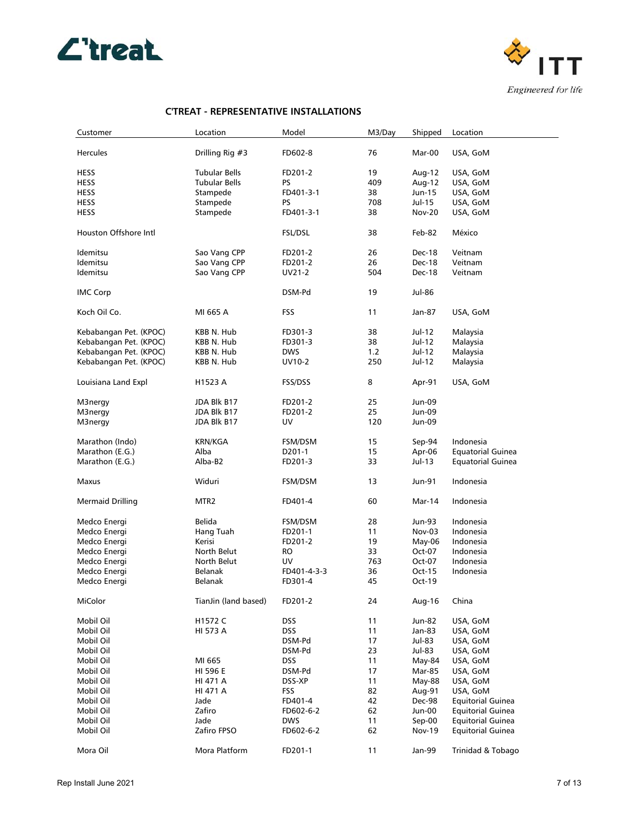



| Customer                | Location             | Model          | M3/Day | Shipped       | Location                 |
|-------------------------|----------------------|----------------|--------|---------------|--------------------------|
|                         |                      |                |        |               |                          |
| <b>Hercules</b>         | Drilling Rig #3      | FD602-8        | 76     | Mar-00        | USA, GoM                 |
| <b>HESS</b>             | <b>Tubular Bells</b> | FD201-2        | 19     | Aug-12        | USA, GoM                 |
|                         |                      |                |        |               |                          |
| <b>HESS</b>             | <b>Tubular Bells</b> | PS.            | 409    | Aug-12        | USA, GoM                 |
| HESS                    | Stampede             | FD401-3-1      | 38     | Jun-15        | USA, GoM                 |
| <b>HESS</b>             | Stampede             | PS.            | 708    | Jul-15        | USA, GoM                 |
| <b>HESS</b>             | Stampede             | FD401-3-1      | 38     | <b>Nov-20</b> | USA, GoM                 |
| Houston Offshore Intl   |                      | <b>FSL/DSL</b> | 38     | Feb-82        | México                   |
| Idemitsu                | Sao Vang CPP         | FD201-2        | 26     | Dec-18        | Veitnam                  |
| Idemitsu                |                      |                |        | Dec-18        |                          |
|                         | Sao Vang CPP         | FD201-2        | 26     |               | Veitnam                  |
| Idemitsu                | Sao Vang CPP         | UV21-2         | 504    | Dec-18        | Veitnam                  |
| <b>IMC Corp</b>         |                      | DSM-Pd         | 19     | Jul-86        |                          |
| Koch Oil Co.            | MI 665 A             | <b>FSS</b>     | 11     | Jan-87        | USA, GoM                 |
|                         |                      |                |        |               |                          |
| Kebabangan Pet. (KPOC)  | KBB N. Hub           | FD301-3        | 38     | Jul-12        | Malaysia                 |
| Kebabangan Pet. (KPOC)  | KBB N. Hub           | FD301-3        | 38     | Jul-12        | Malaysia                 |
| Kebabangan Pet. (KPOC)  | KBB N. Hub           | <b>DWS</b>     | 1.2    | Jul-12        | Malaysia                 |
| Kebabangan Pet. (KPOC)  | KBB N. Hub           | UV10-2         | 250    | Jul-12        | Malaysia                 |
|                         |                      |                |        |               |                          |
| Louisiana Land Expl     | H1523 A              | <b>FSS/DSS</b> | 8      | Apr-91        | USA, GoM                 |
| M3nergy                 | JDA Blk B17          | FD201-2        | 25     | <b>Jun-09</b> |                          |
| M3nergy                 | JDA Blk B17          | FD201-2        | 25     | Jun-09        |                          |
|                         | JDA Blk B17          | UV             | 120    | Jun-09        |                          |
| M3nergy                 |                      |                |        |               |                          |
| Marathon (Indo)         | <b>KRN/KGA</b>       | FSM/DSM        | 15     | Sep-94        | Indonesia                |
| Marathon (E.G.)         | Alba                 | D201-1         | 15     | Apr-06        | <b>Equatorial Guinea</b> |
| Marathon (E.G.)         | Alba-B2              | FD201-3        | 33     | Jul-13        | <b>Equatorial Guinea</b> |
|                         |                      |                |        |               |                          |
| Maxus                   | Widuri               | FSM/DSM        | 13     | <b>Jun-91</b> | Indonesia                |
| <b>Mermaid Drilling</b> | MTR <sub>2</sub>     | FD401-4        | 60     | Mar-14        | Indonesia                |
|                         |                      |                |        |               |                          |
| Medco Energi            | Belida               | FSM/DSM        | 28     | Jun-93        | Indonesia                |
| Medco Energi            | Hang Tuah            | FD201-1        | 11     | Nov-03        | Indonesia                |
| Medco Energi            | Kerisi               | FD201-2        | 19     | $May-06$      | Indonesia                |
| Medco Energi            | North Belut          | RO             | 33     | Oct-07        | Indonesia                |
| Medco Energi            | North Belut          | UV             | 763    | Oct-07        | Indonesia                |
|                         |                      |                |        |               |                          |
| Medco Energi            | <b>Belanak</b>       | FD401-4-3-3    | 36     | Oct-15        | Indonesia                |
| Medco Energi            | <b>Belanak</b>       | FD301-4        | 45     | Oct-19        |                          |
| MiColor                 | TianJin (land based) | FD201-2        | 24     | Aug-16        | China                    |
| Mobil Oil               | H1572 C              | DSS            | 11     | Jun-82        | USA, GoM                 |
| Mobil Oil               | HI 573 A             | DSS            | 11     | Jan-83        | USA, GoM                 |
|                         |                      |                |        |               |                          |
| Mobil Oil               |                      | DSM-Pd         | 17     | Jul-83        | USA, GoM                 |
| Mobil Oil               |                      | DSM-Pd         | 23     | Jul-83        | USA, GoM                 |
| Mobil Oil               | MI 665               | <b>DSS</b>     | 11     | May-84        | USA, GoM                 |
| Mobil Oil               | HI 596 E             | DSM-Pd         | 17     | Mar-85        | USA, GoM                 |
| Mobil Oil               | HI 471 A             | DSS-XP         | 11     | May-88        | USA, GoM                 |
| Mobil Oil               | HI 471 A             | FSS            | 82     | Aug-91        | USA, GoM                 |
| Mobil Oil               | Jade                 | FD401-4        | 42     | Dec-98        | <b>Equitorial Guinea</b> |
|                         |                      |                |        |               |                          |
| Mobil Oil               | Zafiro               | FD602-6-2      | 62     | Jun-00        | <b>Equitorial Guinea</b> |
| Mobil Oil               | Jade                 | <b>DWS</b>     | 11     | Sep-00        | <b>Equitorial Guinea</b> |
| Mobil Oil               | Zafiro FPSO          | FD602-6-2      | 62     | Nov-19        | <b>Equitorial Guinea</b> |
|                         |                      |                |        |               |                          |
| Mora Oil                | Mora Platform        | FD201-1        | 11     | Jan-99        | Trinidad & Tobago        |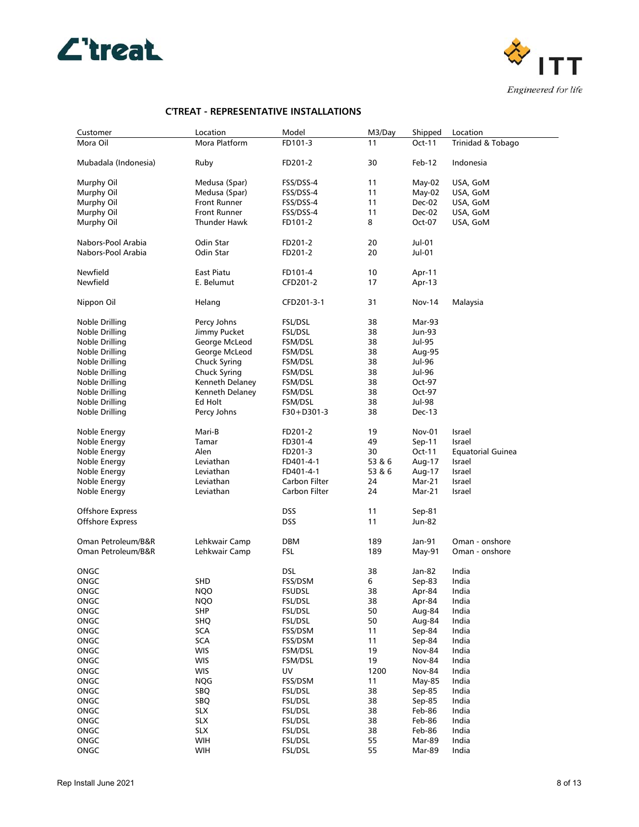



| Customer                | Location                    | Model          | M3/Day | Shipped       | Location                 |
|-------------------------|-----------------------------|----------------|--------|---------------|--------------------------|
| Mora Oil                | Mora Platform               | FD101-3        | 11     | Oct-11        | Trinidad & Tobago        |
|                         |                             |                |        |               |                          |
| Mubadala (Indonesia)    | Ruby                        | FD201-2        | 30     | Feb-12        | Indonesia                |
|                         |                             |                |        |               |                          |
| Murphy Oil              | Medusa (Spar)               | FSS/DSS-4      | 11     | May-02        | USA, GoM                 |
| Murphy Oil              | Medusa (Spar)               | FSS/DSS-4      | 11     | $May-02$      | USA, GoM                 |
| Murphy Oil              | <b>Front Runner</b>         | FSS/DSS-4      | 11     | Dec-02        | USA, GoM                 |
| Murphy Oil              | <b>Front Runner</b>         | FSS/DSS-4      | 11     | Dec-02        | USA, GoM                 |
| Murphy Oil              | Thunder Hawk                | FD101-2        | 8      | Oct-07        | USA, GoM                 |
|                         |                             |                |        |               |                          |
| Nabors-Pool Arabia      | Odin Star                   | FD201-2        | 20     | Jul-01        |                          |
| Nabors-Pool Arabia      | Odin Star                   | FD201-2        | 20     | Jul-01        |                          |
|                         |                             |                |        |               |                          |
| Newfield                | East Piatu                  | FD101-4        | 10     | Apr-11        |                          |
| Newfield                | E. Belumut                  | CFD201-2       | 17     | Apr-13        |                          |
|                         |                             |                |        |               |                          |
| Nippon Oil              | Helang                      | CFD201-3-1     | 31     | <b>Nov-14</b> | Malaysia                 |
|                         |                             |                |        |               |                          |
| Noble Drilling          | Percy Johns                 | FSL/DSL        | 38     | Mar-93        |                          |
| Noble Drilling          | Jimmy Pucket                | <b>FSL/DSL</b> | 38     | Jun-93        |                          |
| Noble Drilling          | George McLeod               | FSM/DSL        | 38     | Jul-95        |                          |
| Noble Drilling          | George McLeod               | FSM/DSL        | 38     | Aug-95        |                          |
| Noble Drilling          | Chuck Syring                | FSM/DSL        | 38     | Jul-96        |                          |
| Noble Drilling          | Chuck Syring                | FSM/DSL        | 38     | Jul-96        |                          |
|                         | Kenneth Delaney             |                | 38     |               |                          |
| Noble Drilling          |                             | FSM/DSL        |        | Oct-97        |                          |
| Noble Drilling          | Kenneth Delaney             | FSM/DSL        | 38     | Oct-97        |                          |
| Noble Drilling          | Ed Holt                     | FSM/DSL        | 38     | Jul-98        |                          |
| Noble Drilling          | Percy Johns                 | F30+D301-3     | 38     | Dec-13        |                          |
|                         |                             |                |        |               |                          |
| Noble Energy            | Mari-B                      | FD201-2        | 19     | <b>Nov-01</b> | Israel                   |
| Noble Energy            | Tamar                       | FD301-4        | 49     | $Sep-11$      | Israel                   |
| Noble Energy            | Alen                        | FD201-3        | 30     | Oct-11        | <b>Equatorial Guinea</b> |
| Noble Energy            | Leviathan                   | FD401-4-1      | 53 & 6 | Aug-17        | Israel                   |
| Noble Energy            | Leviathan                   | FD401-4-1      | 53 & 6 | Aug-17        | Israel                   |
| Noble Energy            | Leviathan                   | Carbon Filter  | 24     | Mar-21        | Israel                   |
| Noble Energy            | Leviathan                   | Carbon Filter  | 24     | Mar-21        | Israel                   |
|                         |                             |                |        |               |                          |
| Offshore Express        |                             | DSS            | 11     | Sep-81        |                          |
| <b>Offshore Express</b> |                             | DSS            | 11     | Jun-82        |                          |
|                         |                             |                |        |               |                          |
| Oman Petroleum/B&R      | Lehkwair Camp               | DBM            | 189    | Jan-91        | Oman - onshore           |
| Oman Petroleum/B&R      | Lehkwair Camp               | FSL            | 189    | May-91        | Oman - onshore           |
|                         |                             |                |        |               |                          |
| ONGC                    |                             | DSL            | 38     | Jan-82        | India                    |
| ONGC                    | SHD                         | FSS/DSM        | 6      | Sep-83        | India                    |
| ONGC                    | <b>NQO</b>                  | <b>FSUDSL</b>  | 38     | Apr-84        | India                    |
| ONGC                    | <b>NQO</b>                  | FSL/DSL        | 38     | Apr-84        | India                    |
| ONGC                    | SHP                         | FSL/DSL        | 50     | Aug-84        | India                    |
| ONGC                    | <b>SHQ</b>                  | FSL/DSL        | 50     | Aug-84        | India                    |
| ONGC                    | $\ensuremath{\mathsf{SCA}}$ | FSS/DSM        | 11     | Sep-84        | India                    |
| ONGC                    | <b>SCA</b>                  | FSS/DSM        | 11     | Sep-84        | India                    |
| ONGC                    | <b>WIS</b>                  | FSM/DSL        | 19     | <b>Nov-84</b> | India                    |
| ONGC                    | <b>WIS</b>                  | FSM/DSL        | 19     | <b>Nov-84</b> | India                    |
| ONGC                    | <b>WIS</b>                  | UV             | 1200   | <b>Nov-84</b> | India                    |
| ONGC                    | <b>NQG</b>                  | FSS/DSM        | 11     | May-85        | India                    |
| ONGC                    | <b>SBQ</b>                  | <b>FSL/DSL</b> | 38     | Sep-85        | India                    |
| ONGC                    | SBQ                         | FSL/DSL        | 38     | Sep-85        | India                    |
| ONGC                    | <b>SLX</b>                  | FSL/DSL        | 38     | Feb-86        | India                    |
| ONGC                    | <b>SLX</b>                  | FSL/DSL        | 38     | Feb-86        | India                    |
| ONGC                    | <b>SLX</b>                  | FSL/DSL        | 38     | Feb-86        | India                    |
| ONGC                    | WIH                         | FSL/DSL        | 55     | Mar-89        | India                    |
| ONGC                    | WIH                         | FSL/DSL        | 55     | Mar-89        | India                    |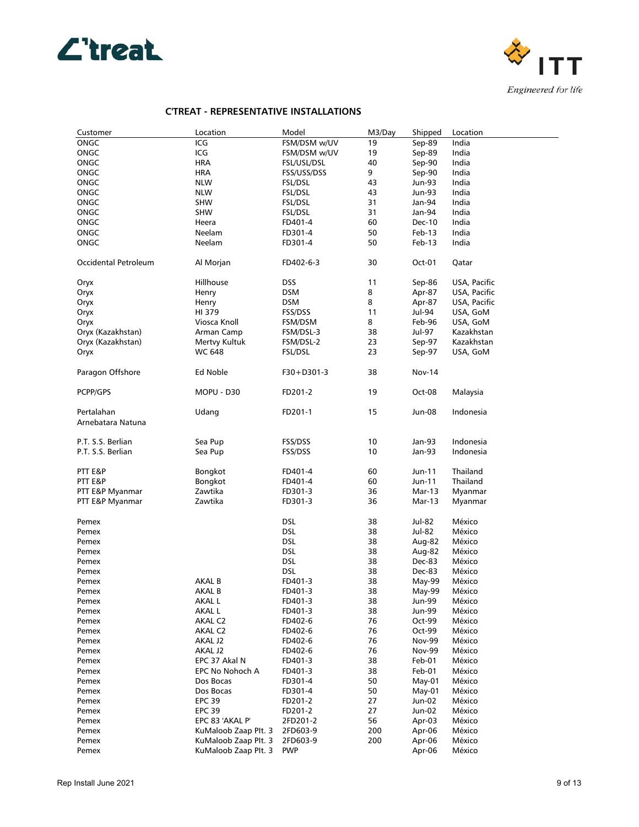



| Customer             | Location             | Model          | M3/Day | Shipped       | Location     |
|----------------------|----------------------|----------------|--------|---------------|--------------|
| ONGC                 | ICG                  | FSM/DSM w/UV   | 19     | $Sep-89$      | India        |
| ONGC                 | ICG                  | FSM/DSM w/UV   | 19     | Sep-89        | India        |
| ONGC                 | <b>HRA</b>           | FSL/USL/DSL    | 40     | Sep-90        | India        |
| ONGC                 | <b>HRA</b>           | FSS/USS/DSS    | 9      | Sep-90        | India        |
| ONGC                 | <b>NLW</b>           | <b>FSL/DSL</b> | 43     | Jun-93        | India        |
| ONGC                 | <b>NLW</b>           | FSL/DSL        | 43     | Jun-93        | India        |
| ONGC                 | SHW                  | <b>FSL/DSL</b> | 31     | Jan-94        | India        |
| ONGC                 | SHW                  |                | 31     | Jan-94        | India        |
|                      |                      | FSL/DSL        |        |               |              |
| ONGC                 | Heera                | FD401-4        | 60     | Dec-10        | India        |
| ONGC                 | Neelam               | FD301-4        | 50     | Feb-13        | India        |
| ONGC                 | Neelam               | FD301-4        | 50     | Feb-13        | India        |
| Occidental Petroleum | Al Morjan            | FD402-6-3      | 30     | Oct-01        | Qatar        |
| Oryx                 | Hillhouse            | <b>DSS</b>     | 11     | Sep-86        | USA, Pacific |
| Oryx                 | Henry                | <b>DSM</b>     | 8      | Apr-87        | USA, Pacific |
| Oryx                 | Henry                | <b>DSM</b>     | 8      | Apr-87        | USA, Pacific |
|                      | HI 379               | FSS/DSS        | 11     | Jul-94        | USA, GoM     |
| Oryx                 |                      |                |        |               |              |
| Oryx                 | Viosca Knoll         | FSM/DSM        | 8      | Feb-96        | USA, GoM     |
| Oryx (Kazakhstan)    | Arman Camp           | FSM/DSL-3      | 38     | Jul-97        | Kazakhstan   |
| Oryx (Kazakhstan)    | Mertvy Kultuk        | FSM/DSL-2      | 23     | Sep-97        | Kazakhstan   |
| Oryx                 | WC 648               | <b>FSL/DSL</b> | 23     | Sep-97        | USA, GoM     |
| Paragon Offshore     | Ed Noble             | $F30+D301-3$   | 38     | Nov-14        |              |
| PCPP/GPS             | MOPU - D30           | FD201-2        | 19     | Oct-08        | Malaysia     |
| Pertalahan           | Udang                | FD201-1        | 15     | Jun-08        | Indonesia    |
| Arnebatara Natuna    |                      |                |        |               |              |
|                      |                      |                |        |               |              |
| P.T. S.S. Berlian    | Sea Pup              | FSS/DSS        | 10     | Jan-93        | Indonesia    |
| P.T. S.S. Berlian    | Sea Pup              | FSS/DSS        | 10     | Jan-93        | Indonesia    |
|                      |                      |                |        |               |              |
| PTT E&P              | Bongkot              | FD401-4        | 60     | Jun-11        | Thailand     |
| PTT E&P              |                      |                | 60     |               | Thailand     |
|                      | Bongkot              | FD401-4        |        | Jun-11        |              |
| PTT E&P Myanmar      | Zawtika              | FD301-3        | 36     | Mar-13        | Myanmar      |
| PTT E&P Myanmar      | Zawtika              | FD301-3        | 36     | Mar-13        | Myanmar      |
|                      |                      | <b>DSL</b>     | 38     |               |              |
| Pemex                |                      |                |        | Jul-82        | México       |
| Pemex                |                      | <b>DSL</b>     | 38     | Jul-82        | México       |
| Pemex                |                      | <b>DSL</b>     | 38     | Aug-82        | México       |
| Pemex                |                      | <b>DSL</b>     | 38     | Aug-82        | México       |
| Pemex                |                      | <b>DSL</b>     | 38     | Dec-83        | México       |
| Pemex                |                      | <b>DSL</b>     | 38     | Dec-83        | México       |
| Pemex                | AKAL B               | FD401-3        | 38     | May-99        | México       |
| Pemex                | AKAL B               | FD401-3        | 38     | May-99        | México       |
| Pemex                | AKAL L               | FD401-3        | 38     | Jun-99        | México       |
| Pemex                | <b>AKAL L</b>        | FD401-3        | 38     | Jun-99        | México       |
| Pemex                | AKAL C2              | FD402-6        | 76     | Oct-99        | México       |
| Pemex                | AKAL C2              | FD402-6        | 76     | Oct-99        | México       |
| Pemex                | AKAL J2              | FD402-6        | 76     | <b>Nov-99</b> | México       |
| Pemex                | AKAL J2              | FD402-6        | 76     | <b>Nov-99</b> | México       |
| Pemex                | EPC 37 Akal N        | FD401-3        | 38     | Feb-01        | México       |
| Pemex                | EPC No Nohoch A      | FD401-3        | 38     | Feb-01        | México       |
| Pemex                | Dos Bocas            | FD301-4        | 50     | May-01        | México       |
| Pemex                | Dos Bocas            | FD301-4        | 50     | May-01        | México       |
| Pemex                | <b>EPC 39</b>        | FD201-2        | 27     | Jun-02        | México       |
| Pemex                | <b>EPC 39</b>        | FD201-2        | 27     | Jun-02        | México       |
| Pemex                | EPC 83 'AKAL P'      | 2FD201-2       | 56     | Apr-03        | México       |
|                      | KuMaloob Zaap Plt. 3 | 2FD603-9       | 200    | Apr-06        | México       |
| Pemex                |                      |                |        |               |              |
| Pemex                | KuMaloob Zaap Plt. 3 | 2FD603-9       | 200    | Apr-06        | México       |
| Pemex                | KuMaloob Zaap Plt. 3 | <b>PWP</b>     |        | Apr-06        | México       |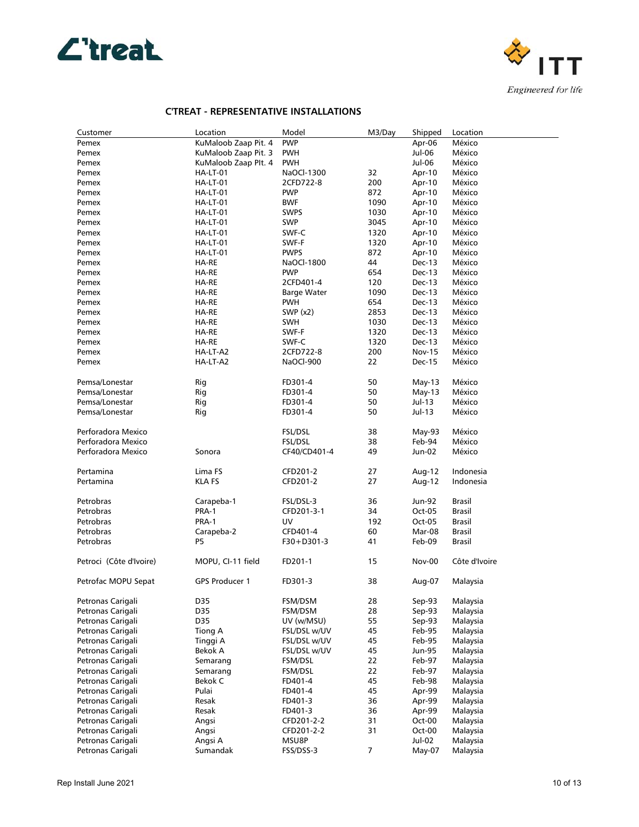



| Customer                         | Location             | Model                    | M3/Day           | Shipped          | Location      |
|----------------------------------|----------------------|--------------------------|------------------|------------------|---------------|
| Pemex                            | KuMaloob Zaap Pit. 4 | <b>PWP</b>               |                  | Apr-06           | México        |
| Pemex                            | KuMaloob Zaap Pit. 3 | <b>PWH</b>               |                  | Jul-06           | México        |
| Pemex                            | KuMaloob Zaap Plt. 4 | <b>PWH</b>               |                  | Jul-06           | México        |
| Pemex                            | HA-LT-01             | NaOCl-1300               | 32               | Apr-10           | México        |
| Pemex                            | HA-LT-01             | 2CFD722-8                | 200              | Apr-10           | México        |
| Pemex                            | HA-LT-01             | <b>PWP</b>               | 872              | Apr-10           | México        |
| Pemex                            | HA-LT-01             | <b>BWF</b>               | 1090             | Apr-10           | México        |
| Pemex                            | HA-LT-01             | <b>SWPS</b>              | 1030             | Apr-10           | México        |
| Pemex                            | HA-LT-01             | <b>SWP</b>               | 3045             | Apr-10           | México        |
| Pemex                            | HA-LT-01             | SWF-C                    | 1320             | Apr-10           | México        |
| Pemex                            | HA-LT-01             | SWF-F                    | 1320             |                  | México        |
| Pemex                            | HA-LT-01             | <b>PWPS</b>              | 872              | Apr-10<br>Apr-10 | México        |
|                                  | HA-RE                |                          | 44               |                  | México        |
| Pemex                            |                      | NaOCl-1800<br><b>PWP</b> | 654              | Dec-13           | México        |
| Pemex<br>Pemex                   | HA-RE<br>HA-RE       | 2CFD401-4                | 120              | Dec-13<br>Dec-13 | México        |
|                                  |                      |                          |                  |                  |               |
| Pemex                            | HA-RE                | Barge Water              | 1090             | Dec-13           | México        |
| Pemex                            | HA-RE                | <b>PWH</b>               | 654              | Dec-13           | México        |
| Pemex                            | HA-RE                | SWP $(x2)$               | 2853             | Dec-13           | México        |
| Pemex                            | HA-RE                | <b>SWH</b>               | 1030             | Dec-13           | México        |
| Pemex                            | HA-RE                | SWF-F                    | 1320             | Dec-13           | México        |
| Pemex                            | HA-RE                | SWF-C                    | 1320             | Dec-13           | México        |
| Pemex                            | HA-LT-A2             | 2CFD722-8                | 200              | <b>Nov-15</b>    | México        |
| Pemex                            | HA-LT-A2             | NaOCl-900                | 22               | Dec-15           | México        |
|                                  |                      |                          |                  |                  |               |
| Pemsa/Lonestar<br>Pemsa/Lonestar | Rig                  | FD301-4                  | 50               | May-13           | México        |
|                                  | Rig                  | FD301-4                  | 50<br>50         | May-13           | México        |
| Pemsa/Lonestar                   | Rig                  | FD301-4                  |                  | Jul-13           | México        |
| Pemsa/Lonestar                   | Rig                  | FD301-4                  | 50               | Jul-13           | México        |
| Perforadora Mexico               |                      | FSL/DSL                  | 38               | May-93           | México        |
| Perforadora Mexico               |                      | FSL/DSL                  | 38               | Feb-94           | México        |
| Perforadora Mexico               | Sonora               | CF40/CD401-4             | 49               | Jun-02           | México        |
|                                  |                      |                          |                  |                  |               |
| Pertamina                        | Lima FS              | CFD201-2                 | 27               | Aug-12           | Indonesia     |
| Pertamina                        | <b>KLA FS</b>        | CFD201-2                 | 27               | Aug-12           | Indonesia     |
|                                  |                      |                          |                  |                  |               |
| Petrobras                        | Carapeba-1           | FSL/DSL-3                | 36               | Jun-92           | <b>Brasil</b> |
| Petrobras                        | PRA-1                | CFD201-3-1               | 34               | Oct-05           | Brasil        |
| Petrobras                        | PRA-1                | UV                       | 192              | Oct-05           | Brasil        |
| Petrobras                        | Carapeba-2           | CFD401-4                 | 60               | Mar-08           | Brasil        |
| Petrobras                        | P5                   | F30+D301-3               | 41               | Feb-09           | Brasil        |
|                                  |                      |                          |                  |                  |               |
| Petroci (Côte d'Ivoire)          | MOPU, CI-11 field    | FD201-1                  | 15               | Nov-00           | Côte d'Ivoire |
|                                  |                      |                          |                  |                  |               |
| Petrofac MOPU Sepat              | GPS Producer 1       | FD301-3                  | 38               | Aug-07           | Malaysia      |
|                                  |                      |                          |                  | Sep-93           |               |
| Petronas Carigali                | D35                  | FSM/DSM                  | 28               |                  | Malaysia      |
| Petronas Carigali                | D35                  | FSM/DSM                  | 28               | Sep-93           | Malaysia      |
| Petronas Carigali                | D35                  | UV (w/MSU)               | 55               | Sep-93           | Malaysia      |
| Petronas Carigali                | Tiong A              | FSL/DSL w/UV             | 45               | Feb-95           | Malaysia      |
| Petronas Carigali                | Tinggi A             | FSL/DSL w/UV             | 45               | Feb-95           | Malaysia      |
| Petronas Carigali                | Bekok A              | FSL/DSL w/UV             | 45               | Jun-95           | Malaysia      |
| Petronas Carigali                | Semarang             | FSM/DSL                  | 22               | Feb-97           | Malaysia      |
| Petronas Carigali                | Semarang             | FSM/DSL                  | 22               | Feb-97           | Malaysia      |
| Petronas Carigali                | Bekok C              | FD401-4                  | 45               | Feb-98           | Malaysia      |
| Petronas Carigali                | Pulai                | FD401-4                  | 45               | Apr-99           | Malaysia      |
| Petronas Carigali                | Resak                | FD401-3                  | 36               | Apr-99           | Malaysia      |
| Petronas Carigali                | Resak                | FD401-3                  | 36               | Apr-99           | Malaysia      |
| Petronas Carigali                | Angsi                | CFD201-2-2               | 31               | Oct-00           | Malaysia      |
| Petronas Carigali                | Angsi                | CFD201-2-2               | 31               | Oct-00           | Malaysia      |
| Petronas Carigali                | Angsi A              | MSU8P                    |                  | Jul-02           | Malaysia      |
| Petronas Carigali                | Sumandak             | FSS/DSS-3                | $\boldsymbol{7}$ | May-07           | Malaysia      |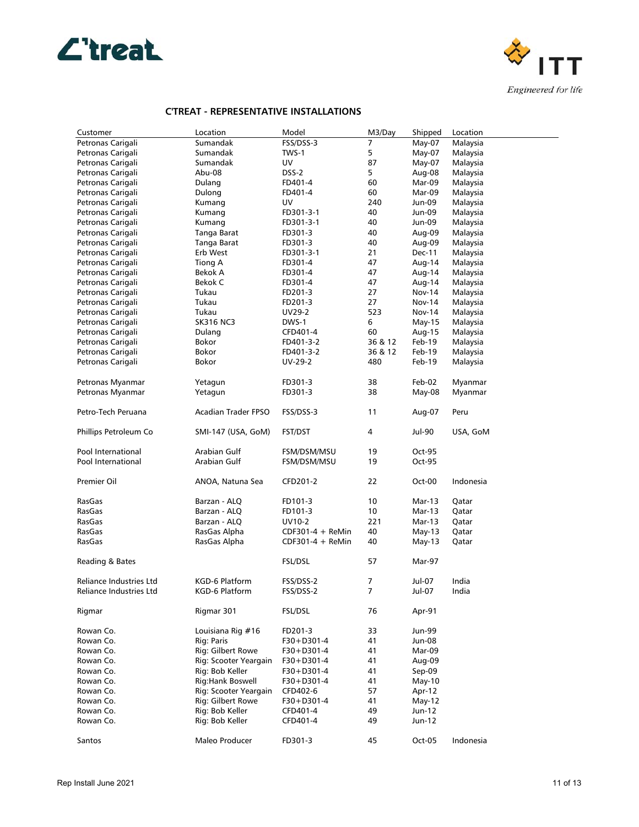



| Customer                       | Location                   | Model              | M3/Day  | Shipped       | Location  |
|--------------------------------|----------------------------|--------------------|---------|---------------|-----------|
| Petronas Carigali              | Sumandak                   | FSS/DSS-3          | 7       | May-07        | Malaysia  |
| Petronas Carigali              | Sumandak                   | TWS-1              | 5       | May-07        | Malaysia  |
| Petronas Carigali              | Sumandak                   | UV                 | 87      | May-07        | Malaysia  |
| Petronas Carigali              | Abu-08                     | DSS-2              | 5       | Aug-08        | Malaysia  |
| Petronas Carigali              | Dulang                     | FD401-4            | 60      | Mar-09        | Malaysia  |
| Petronas Carigali              | Dulong                     | FD401-4            | 60      | Mar-09        | Malaysia  |
| Petronas Carigali              | Kumang                     | UV                 | 240     | Jun-09        | Malaysia  |
| Petronas Carigali              | Kumang                     | FD301-3-1          | 40      | Jun-09        | Malaysia  |
| Petronas Carigali              | Kumang                     | FD301-3-1          | 40      | Jun-09        | Malaysia  |
| Petronas Carigali              | Tanga Barat                | FD301-3            | 40      | Aug-09        | Malaysia  |
| Petronas Carigali              | Tanga Barat                | FD301-3            | 40      | Aug-09        | Malaysia  |
| Petronas Carigali              | Erb West                   | FD301-3-1          | 21      | <b>Dec-11</b> | Malaysia  |
| Petronas Carigali              | Tiong A                    | FD301-4            | 47      | Aug-14        | Malaysia  |
| Petronas Carigali              | Bekok A                    | FD301-4            | 47      | Aug-14        | Malaysia  |
| Petronas Carigali              | Bekok C                    | FD301-4            | 47      | Aug-14        | Malaysia  |
| Petronas Carigali              | Tukau                      | FD201-3            | 27      | <b>Nov-14</b> | Malaysia  |
|                                | Tukau                      |                    | 27      |               |           |
| Petronas Carigali              |                            | FD201-3            |         | Nov-14        | Malaysia  |
| Petronas Carigali              | Tukau                      | UV29-2             | 523     | <b>Nov-14</b> | Malaysia  |
| Petronas Carigali              | <b>SK316 NC3</b>           | DWS-1              | 6       | May-15        | Malaysia  |
| Petronas Carigali              | Dulang                     | CFD401-4           | 60      | Aug-15        | Malaysia  |
| Petronas Carigali              | Bokor                      | FD401-3-2          | 36 & 12 | Feb-19        | Malaysia  |
| Petronas Carigali              | Bokor                      | FD401-3-2          | 36 & 12 | Feb-19        | Malaysia  |
| Petronas Carigali              | Bokor                      | UV-29-2            | 480     | Feb-19        | Malaysia  |
| Petronas Myanmar               | Yetagun                    | FD301-3            | 38      | Feb-02        | Myanmar   |
| Petronas Myanmar               | Yetagun                    | FD301-3            | 38      | $May-08$      | Myanmar   |
|                                |                            |                    |         |               |           |
| Petro-Tech Peruana             | <b>Acadian Trader FPSO</b> | FSS/DSS-3          | 11      | Aug-07        | Peru      |
| Phillips Petroleum Co          | SMI-147 (USA, GoM)         | <b>FST/DST</b>     | 4       | Jul-90        | USA, GoM  |
|                                |                            |                    |         |               |           |
| Pool International             | Arabian Gulf               | FSM/DSM/MSU        | 19      | Oct-95        |           |
| Pool International             | Arabian Gulf               | FSM/DSM/MSU        | 19      | Oct-95        |           |
| Premier Oil                    | ANOA, Natuna Sea           | CFD201-2           | 22      | Oct-00        | Indonesia |
|                                |                            |                    |         |               |           |
| RasGas                         | Barzan - ALQ               | FD101-3            | 10      | Mar-13        | Qatar     |
| RasGas                         | Barzan - ALQ               | FD101-3            | 10      | Mar-13        | Qatar     |
| RasGas                         | Barzan - ALQ               | UV10-2             | 221     | Mar-13        | Qatar     |
| RasGas                         | RasGas Alpha               | $CDF301-4 + ReMin$ | 40      | May-13        | Qatar     |
| RasGas                         | RasGas Alpha               | CDF301-4 + ReMin   | 40      | May-13        | Qatar     |
|                                |                            |                    |         |               |           |
| Reading & Bates                |                            | FSL/DSL            | 57      | Mar-97        |           |
| <b>Reliance Industries Ltd</b> | KGD-6 Platform             | FSS/DSS-2          | 7       | Jul-07        | India     |
| Reliance Industries Ltd        | KGD-6 Platform             | FSS/DSS-2          | 7       | Jul-07        | India     |
|                                |                            |                    |         |               |           |
| Rigmar                         | Rigmar 301                 | FSL/DSL            | 76      | Apr-91        |           |
| Rowan Co.                      | Louisiana Rig #16          | FD201-3            | 33      | Jun-99        |           |
|                                |                            |                    |         |               |           |
| Rowan Co.<br>Rowan Co.         | Rig: Paris                 | F30+D301-4         | 41      | Jun-08        |           |
|                                | Rig: Gilbert Rowe          | F30+D301-4         | 41      | Mar-09        |           |
| Rowan Co.                      | Rig: Scooter Yeargain      | F30+D301-4         | 41      | Aug-09        |           |
| Rowan Co.                      | Rig: Bob Keller            | $F30+D301-4$       | 41      | Sep-09        |           |
| Rowan Co.                      | Rig:Hank Boswell           | F30+D301-4         | 41      | May-10        |           |
| Rowan Co.                      | Rig: Scooter Yeargain      | CFD402-6           | 57      | Apr-12        |           |
| Rowan Co.                      | Rig: Gilbert Rowe          | $F30+D301-4$       | 41      | $May-12$      |           |
| Rowan Co.                      | Rig: Bob Keller            | CFD401-4           | 49      | Jun-12        |           |
| Rowan Co.                      | Rig: Bob Keller            | CFD401-4           | 49      | Jun-12        |           |
| Santos                         | Maleo Producer             | FD301-3            | 45      | Oct-05        | Indonesia |
|                                |                            |                    |         |               |           |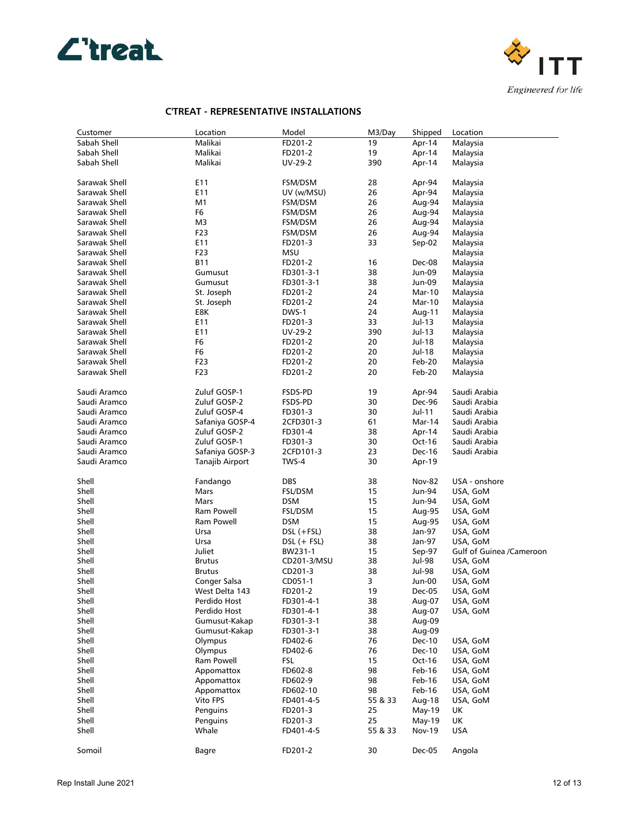



| Customer      | Location         | Model         | M3/Day  | Shipped       | Location                 |
|---------------|------------------|---------------|---------|---------------|--------------------------|
| Sabah Shell   | Malikai          | FD201-2       | 19      | Apr-14        | Malaysia                 |
| Sabah Shell   | Malikai          | FD201-2       | 19      | Apr-14        | Malaysia                 |
| Sabah Shell   | Malikai          | UV-29-2       | 390     | Apr-14        | Malaysia                 |
| Sarawak Shell | E11              | FSM/DSM       | 28      | Apr-94        | Malaysia                 |
| Sarawak Shell | E11              | UV (w/MSU)    | 26      | Apr-94        | Malaysia                 |
| Sarawak Shell | M1               | FSM/DSM       | 26      | Aug-94        | Malaysia                 |
| Sarawak Shell | F6               | FSM/DSM       | 26      | Aug-94        | Malaysia                 |
| Sarawak Shell | M3               | FSM/DSM       | 26      | Aug-94        | Malaysia                 |
| Sarawak Shell | F <sub>2</sub> 3 | FSM/DSM       | 26      | Aug-94        | Malaysia                 |
| Sarawak Shell | E11              | FD201-3       | 33      | Sep-02        | Malaysia                 |
| Sarawak Shell | F23              | MSU           |         |               | Malaysia                 |
| Sarawak Shell | <b>B11</b>       | FD201-2       | 16      | Dec-08        | Malaysia                 |
| Sarawak Shell | Gumusut          | FD301-3-1     | 38      | Jun-09        | Malaysia                 |
| Sarawak Shell | Gumusut          | FD301-3-1     | 38      | Jun-09        | Malaysia                 |
| Sarawak Shell | St. Joseph       | FD201-2       | 24      | Mar-10        | Malaysia                 |
| Sarawak Shell | St. Joseph       | FD201-2       | 24      | Mar-10        | Malaysia                 |
| Sarawak Shell | E8K              | DWS-1         | 24      |               | Malaysia                 |
| Sarawak Shell |                  |               | 33      | Aug-11        |                          |
|               | E11              | FD201-3       |         | Jul-13        | Malaysia                 |
| Sarawak Shell | E11              | UV-29-2       | 390     | Jul-13        | Malaysia                 |
| Sarawak Shell | F <sub>6</sub>   | FD201-2       | 20      | Jul-18        | Malaysia                 |
| Sarawak Shell | F6               | FD201-2       | 20      | Jul-18        | Malaysia                 |
| Sarawak Shell | F23              | FD201-2       | 20      | Feb-20        | Malaysia                 |
| Sarawak Shell | F <sub>2</sub> 3 | FD201-2       | 20      | Feb-20        | Malaysia                 |
| Saudi Aramco  | Zuluf GOSP-1     | FSDS-PD       | 19      | Apr-94        | Saudi Arabia             |
| Saudi Aramco  | Zuluf GOSP-2     | FSDS-PD       | 30      | Dec-96        | Saudi Arabia             |
| Saudi Aramco  | Zuluf GOSP-4     | FD301-3       | 30      | Jul-11        | Saudi Arabia             |
| Saudi Aramco  | Safaniya GOSP-4  | 2CFD301-3     | 61      | Mar-14        | Saudi Arabia             |
| Saudi Aramco  | Zuluf GOSP-2     | FD301-4       | 38      | Apr-14        | Saudi Arabia             |
| Saudi Aramco  | Zuluf GOSP-1     | FD301-3       | 30      | Oct-16        | Saudi Arabia             |
| Saudi Aramco  | Safaniya GOSP-3  | 2CFD101-3     | 23      | Dec-16        | Saudi Arabia             |
| Saudi Aramco  | Tanajib Airport  | TWS-4         | 30      | Apr-19        |                          |
| Shell         | Fandango         | DBS           | 38      | <b>Nov-82</b> | USA - onshore            |
| Shell         | Mars             | FSL/DSM       | 15      | Jun-94        | USA, GoM                 |
| Shell         | Mars             | DSM           | 15      | Jun-94        | USA, GoM                 |
| Shell         | Ram Powell       | FSL/DSM       | 15      | Aug-95        | USA, GoM                 |
| Shell         | Ram Powell       | DSM           | 15      | Aug-95        | USA, GoM                 |
| Shell         | Ursa             | DSL (+FSL)    | 38      | Jan-97        | USA, GoM                 |
| Shell         | Ursa             | $DSL$ (+ FSL) | 38      | Jan-97        | USA, GoM                 |
| Shell         | Juliet           | BW231-1       | 15      | Sep-97        | Gulf of Guinea /Cameroon |
| Shell         | <b>Brutus</b>    | CD201-3/MSU   | 38      | Jul-98        | USA, GoM                 |
| Shell         | <b>Brutus</b>    | CD201-3       | 38      | Jul-98        | USA, GoM                 |
| Shell         | Conger Salsa     | CD051-1       | 3       | Jun-00        | USA, GoM                 |
| Shell         | West Delta 143   | FD201-2       | 19      | Dec-05        | USA, GoM                 |
| Shell         | Perdido Host     | FD301-4-1     | 38      | Aug-07        | USA, GoM                 |
| Shell         | Perdido Host     | FD301-4-1     | 38      | Aug-07        | USA, GoM                 |
| Shell         | Gumusut-Kakap    | FD301-3-1     | 38      | Aug-09        |                          |
| Shell         | Gumusut-Kakap    | FD301-3-1     | 38      | Aug-09        |                          |
| Shell         | Olympus          | FD402-6       | 76      | Dec-10        | USA, GoM                 |
| Shell         | Olympus          | FD402-6       | 76      | Dec-10        | USA, GoM                 |
| Shell         | Ram Powell       | <b>FSL</b>    | 15      | Oct-16        | USA, GoM                 |
| Shell         | Appomattox       | FD602-8       | 98      | Feb-16        | USA, GoM                 |
| Shell         | Appomattox       | FD602-9       | 98      | Feb-16        | USA, GoM                 |
| Shell         | Appomattox       | FD602-10      | 98      | Feb-16        | USA, GoM                 |
| Shell         | Vito FPS         | FD401-4-5     | 55 & 33 | Aug-18        |                          |
| Shell         |                  |               |         |               | USA, GoM                 |
| Shell         | Penguins         | FD201-3       | 25      | $May-19$      | UK                       |
| Shell         | Penguins         | FD201-3       | 25      | May-19        | UK                       |
|               | Whale            | FD401-4-5     | 55 & 33 | <b>Nov-19</b> | USA                      |
| Somoil        | Bagre            | FD201-2       | 30      | Dec-05        | Angola                   |